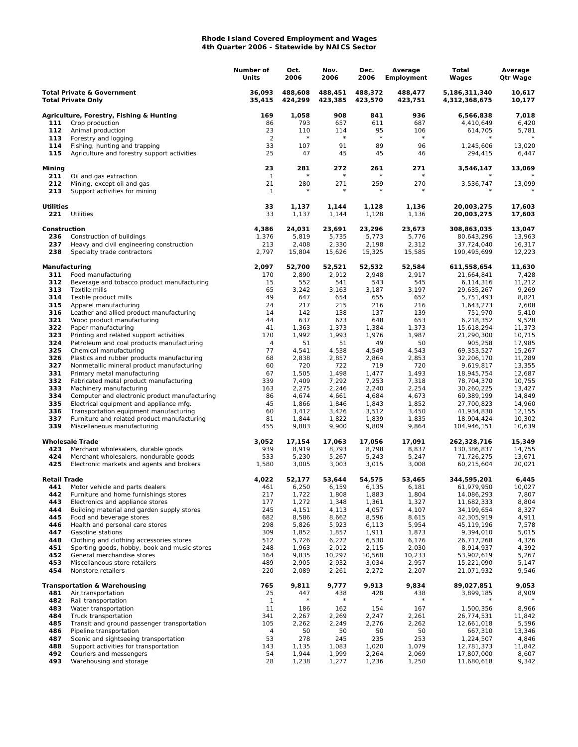## **Rhode Island Covered Employment and Wages 4th Quarter 2006 - Statewide by NAICS Sector**

|                                                                    |                                                                                          | Number of<br>Units                 | Oct.<br>2006       | Nov.<br>2006       | Dec.<br>2006       | Average<br>Employment | Total<br>Wages                 | Average<br><b>Qtr Wage</b> |
|--------------------------------------------------------------------|------------------------------------------------------------------------------------------|------------------------------------|--------------------|--------------------|--------------------|-----------------------|--------------------------------|----------------------------|
| <b>Total Private &amp; Government</b><br><b>Total Private Only</b> |                                                                                          | 36,093<br>35,415                   | 488,608<br>424,299 | 488,451<br>423,385 | 488,372<br>423,570 | 488,477<br>423,751    | 5,186,311,340<br>4,312,368,675 | 10,617<br>10,177           |
|                                                                    | Agriculture, Forestry, Fishing & Hunting                                                 | 169                                | 1,058              | 908                | 841                | 936                   | 6,566,838                      | 7,018                      |
| 111                                                                | Crop production                                                                          | 86                                 | 793                | 657                | 611                | 687                   | 4,410,649                      | 6,420                      |
| 112                                                                | Animal production                                                                        | 23                                 | 110<br>$\star$     | 114<br>$\star$     | 95<br>$\star$      | 106<br>$\star$        | 614,705                        | 5,781                      |
| 113<br>114                                                         | Forestry and logging                                                                     | $\overline{2}$<br>33               | 107                | 91                 | 89                 | 96                    | 1,245,606                      | 13,020                     |
| 115                                                                | Fishing, hunting and trapping<br>Agriculture and forestry support activities             | 25                                 | 47                 | 45                 | 45                 | 46                    | 294,415                        | 6,447                      |
| Mining                                                             |                                                                                          | 23                                 | 281<br>$\star$     | 272                | 261                | 271                   | 3,546,147                      | 13,069                     |
| 211<br>212<br>213                                                  | Oil and gas extraction<br>Mining, except oil and gas<br>Support activities for mining    | $\mathbf{1}$<br>21<br>$\mathbf{1}$ | 280<br>$^\star$    | 271                | 259<br>$\star$     | 270                   | 3,536,747                      | 13,099                     |
| <b>Utilities</b>                                                   |                                                                                          | 33                                 | 1,137              | 1,144              | 1,128              | 1,136                 | 20,003,275                     | 17,603                     |
| 221                                                                | Utilities                                                                                | 33                                 | 1,137              | 1,144              | 1,128              | 1,136                 | 20,003,275                     | 17,603                     |
| Construction                                                       |                                                                                          | 4,386                              | 24,031             | 23,691             | 23,296             | 23,673                | 308,863,035                    | 13,047                     |
| 236                                                                | Construction of buildings                                                                | 1,376                              | 5,819              | 5,735              | 5,773              | 5,776                 | 80,643,296                     | 13,963                     |
| 237<br>238                                                         | Heavy and civil engineering construction<br>Specialty trade contractors                  | 213<br>2,797                       | 2,408<br>15,804    | 2,330<br>15,626    | 2,198<br>15,325    | 2,312<br>15,585       | 37,724,040<br>190,495,699      | 16,317<br>12,223           |
| Manufacturing                                                      |                                                                                          | 2,097                              | 52,700             | 52,521             | 52,532             | 52,584                | 611,558,654                    | 11,630                     |
| 311                                                                | Food manufacturing                                                                       | 170                                | 2,890              | 2,912              | 2,948              | 2,917                 | 21,664,841                     | 7,428                      |
| 312                                                                | Beverage and tobacco product manufacturing                                               | 15                                 | 552                | 541                | 543                | 545                   | 6,114,316                      | 11,212                     |
| 313                                                                | Textile mills                                                                            | 65<br>49                           | 3,242              | 3,163              | 3,187              | 3,197                 | 29,635,267                     | 9,269                      |
| 314<br>315                                                         | Textile product mills<br>Apparel manufacturing                                           | 24                                 | 647<br>217         | 654<br>215         | 655<br>216         | 652<br>216            | 5,751,493<br>1,643,273         | 8,821<br>7,608             |
| 316                                                                | Leather and allied product manufacturing                                                 | 14                                 | 142                | 138                | 137                | 139                   | 751,970                        | 5,410                      |
| 321                                                                | Wood product manufacturing                                                               | 44                                 | 637                | 673                | 648                | 653                   | 6,218,352                      | 9,528                      |
| 322                                                                | Paper manufacturing                                                                      | 41                                 | 1,363              | 1,373              | 1,384              | 1,373                 | 15,618,294                     | 11,373                     |
| 323                                                                | Printing and related support activities                                                  | 170                                | 1,992              | 1,993              | 1,976              | 1,987                 | 21,290,300                     | 10,715                     |
| 324                                                                | Petroleum and coal products manufacturing                                                | 4                                  | 51                 | 51                 | 49                 | 50                    | 905,258                        | 17,985                     |
| 325<br>326                                                         | Chemical manufacturing                                                                   | 77<br>68                           | 4,541<br>2,838     | 4,538<br>2,857     | 4,549<br>2,864     | 4,543<br>2,853        | 69,353,527<br>32,206,170       | 15,267<br>11,289           |
| 327                                                                | Plastics and rubber products manufacturing<br>Nonmetallic mineral product manufacturing  | 60                                 | 720                | 722                | 719                | 720                   | 9,619,817                      | 13,355                     |
| 331                                                                | Primary metal manufacturing                                                              | 67                                 | 1,505              | 1,498              | 1,477              | 1,493                 | 18,945,754                     | 12,687                     |
| 332                                                                | Fabricated metal product manufacturing                                                   | 339                                | 7,409              | 7,292              | 7,253              | 7,318                 | 78,704,370                     | 10,755                     |
| 333                                                                | Machinery manufacturing                                                                  | 163                                | 2,275              | 2,246              | 2,240              | 2,254                 | 30,260,225                     | 13,427                     |
| 334                                                                | Computer and electronic product manufacturing                                            | 86                                 | 4,674              | 4,661              | 4,684              | 4,673                 | 69,389,199                     | 14,849                     |
| 335                                                                | Electrical equipment and appliance mfg.                                                  | 45                                 | 1,866              | 1,846              | 1,843              | 1,852                 | 27,700,823                     | 14,960                     |
| 336<br>337                                                         | Transportation equipment manufacturing                                                   | 60                                 | 3,412              | 3,426              | 3,512              | 3,450                 | 41,934,830                     | 12,155                     |
| 339                                                                | Furniture and related product manufacturing<br>Miscellaneous manufacturing               | 81<br>455                          | 1,844<br>9,883     | 1,822<br>9,900     | 1,839<br>9,809     | 1,835<br>9,864        | 18,904,424<br>104,946,151      | 10,302<br>10,639           |
|                                                                    | <b>Wholesale Trade</b>                                                                   | 3,052                              | 17,154             | 17,063             | 17,056             | 17,091                | 262,328,716                    | 15,349                     |
| 423                                                                | Merchant wholesalers, durable goods                                                      | 939                                | 8,919              | 8,793              | 8,798              | 8,837                 | 130,386,837                    | 14,755                     |
| 424                                                                | Merchant wholesalers, nondurable goods                                                   | 533                                | 5,230              | 5,267              | 5,243              | 5,247                 | 71,726,275                     | 13,671                     |
| 425                                                                | Electronic markets and agents and brokers                                                | 1,580                              | 3,005              | 3,003              | 3,015              | 3,008                 | 60,215,604                     | 20,021                     |
| Retail Trade                                                       |                                                                                          | 4,022                              | 52,177             | 53,644             | 54,575             | 53,465                | 344,595,201                    | 6,445<br>10,027            |
| 441<br>442                                                         | Motor vehicle and parts dealers<br>Furniture and home furnishings stores                 | 461<br>217                         | 6,250<br>1,722     | 6,159<br>1,808     | 6,135<br>1,883     | 6,181<br>1,804        | 61,979,950<br>14,086,293       | 7,807                      |
| 443                                                                | Electronics and appliance stores                                                         | 177                                | 1,272              | 1,348              | 1,361              | 1,327                 | 11,682,333                     | 8,804                      |
| 444                                                                | Building material and garden supply stores                                               | 245                                | 4,151              | 4,113              | 4,057              | 4,107                 | 34, 199, 654                   | 8,327                      |
| 445                                                                | Food and beverage stores                                                                 | 682                                | 8,586              | 8,662              | 8,596              | 8,615                 | 42,305,919                     | 4,911                      |
| 446                                                                | Health and personal care stores                                                          | 298                                | 5,826              | 5,923              | 6,113              | 5,954                 | 45, 119, 196                   | 7,578                      |
| 447                                                                | Gasoline stations                                                                        | 309                                | 1,852              | 1,857              | 1,911              | 1,873                 | 9,394,010                      | 5,015                      |
| 448                                                                | Clothing and clothing accessories stores<br>Sporting goods, hobby, book and music stores | 512                                | 5,726              | 6,272              | 6,530              | 6,176                 | 26,717,268                     | 4,326                      |
| 451<br>452                                                         | General merchandise stores                                                               | 248<br>164                         | 1,963<br>9,835     | 2,012<br>10,297    | 2,115<br>10,568    | 2,030<br>10,233       | 8,914,937<br>53,902,619        | 4,392<br>5,267             |
| 453                                                                | Miscellaneous store retailers                                                            | 489                                | 2,905              | 2,932              | 3,034              | 2,957                 | 15,221,090                     | 5,147                      |
| 454                                                                | Nonstore retailers                                                                       | 220                                | 2,089              | 2,261              | 2,272              | 2,207                 | 21,071,932                     | 9,546                      |
|                                                                    | <b>Transportation &amp; Warehousing</b>                                                  | 765                                | 9,811              | 9,777              | 9,913              | 9,834                 | 89,027,851                     | 9,053                      |
| 481                                                                | Air transportation                                                                       | 25                                 | 447                | 438                | 428                | 438                   | 3,899,185                      | 8,909                      |
| 482                                                                | Rail transportation                                                                      | 1                                  |                    |                    |                    |                       |                                |                            |
| 483<br>484                                                         | Water transportation<br>Truck transportation                                             | 11<br>341                          | 186<br>2,267       | 162<br>2,269       | 154<br>2,247       | 167<br>2,261          | 1,500,356<br>26,774,531        | 8,966<br>11,842            |
| 485                                                                | Transit and ground passenger transportation                                              | 105                                | 2,262              | 2,249              | 2,276              | 2,262                 | 12,661,018                     | 5,596                      |
| 486                                                                | Pipeline transportation                                                                  | 4                                  | 50                 | 50                 | 50                 | 50                    | 667,310                        | 13,346                     |
| 487                                                                | Scenic and sightseeing transportation                                                    | 53                                 | 278                | 245                | 235                | 253                   | 1,224,507                      | 4,846                      |
| 488                                                                | Support activities for transportation                                                    | 143                                | 1,135              | 1,083              | 1,020              | 1,079                 | 12,781,373                     | 11,842                     |
| 492                                                                | Couriers and messengers                                                                  | 54                                 | 1,944              | 1,999              | 2,264              | 2,069                 | 17,807,000                     | 8,607                      |
| 493                                                                | Warehousing and storage                                                                  | 28                                 | 1,238              | 1,277              | 1,236              | 1,250                 | 11,680,618                     | 9,342                      |